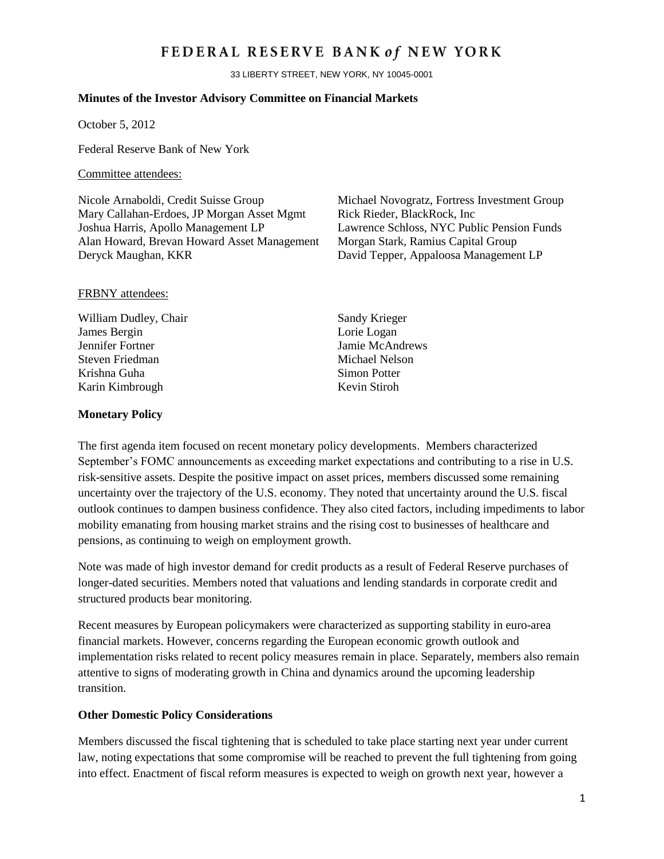## FEDERAL RESERVE BANK of NEW YORK

33 LIBERTY STREET, NEW YORK, NY 10045-0001

#### **Minutes of the Investor Advisory Committee on Financial Markets**

October 5, 2012

Federal Reserve Bank of New York

#### Committee attendees:

Nicole Arnaboldi, Credit Suisse Group Michael Novogratz, Fortress Investment Group Mary Callahan-Erdoes, JP Morgan Asset Mgmt Rick Rieder, BlackRock, Inc. Joshua Harris, Apollo Management LP Lawrence Schloss, NYC Public Pension Funds Alan Howard, Brevan Howard Asset Management Morgan Stark, Ramius Capital Group Deryck Maughan, KKR David Tepper, Appaloosa Management LP

#### FRBNY attendees:

William Dudley, Chair Sandy Krieger James Bergin Lorie Logan Jennifer Fortner Jamie McAndrews Steven Friedman Michael Nelson Krishna Guha Nashrida Simon Potter Karin Kimbrough Kevin Stiroh

#### **Monetary Policy**

The first agenda item focused on recent monetary policy developments. Members characterized September's FOMC announcements as exceeding market expectations and contributing to a rise in U.S. risk-sensitive assets. Despite the positive impact on asset prices, members discussed some remaining uncertainty over the trajectory of the U.S. economy. They noted that uncertainty around the U.S. fiscal outlook continues to dampen business confidence. They also cited factors, including impediments to labor mobility emanating from housing market strains and the rising cost to businesses of healthcare and pensions, as continuing to weigh on employment growth.

Note was made of high investor demand for credit products as a result of Federal Reserve purchases of longer-dated securities. Members noted that valuations and lending standards in corporate credit and structured products bear monitoring.

Recent measures by European policymakers were characterized as supporting stability in euro-area financial markets. However, concerns regarding the European economic growth outlook and implementation risks related to recent policy measures remain in place. Separately, members also remain attentive to signs of moderating growth in China and dynamics around the upcoming leadership transition.

#### **Other Domestic Policy Considerations**

Members discussed the fiscal tightening that is scheduled to take place starting next year under current law, noting expectations that some compromise will be reached to prevent the full tightening from going into effect. Enactment of fiscal reform measures is expected to weigh on growth next year, however a